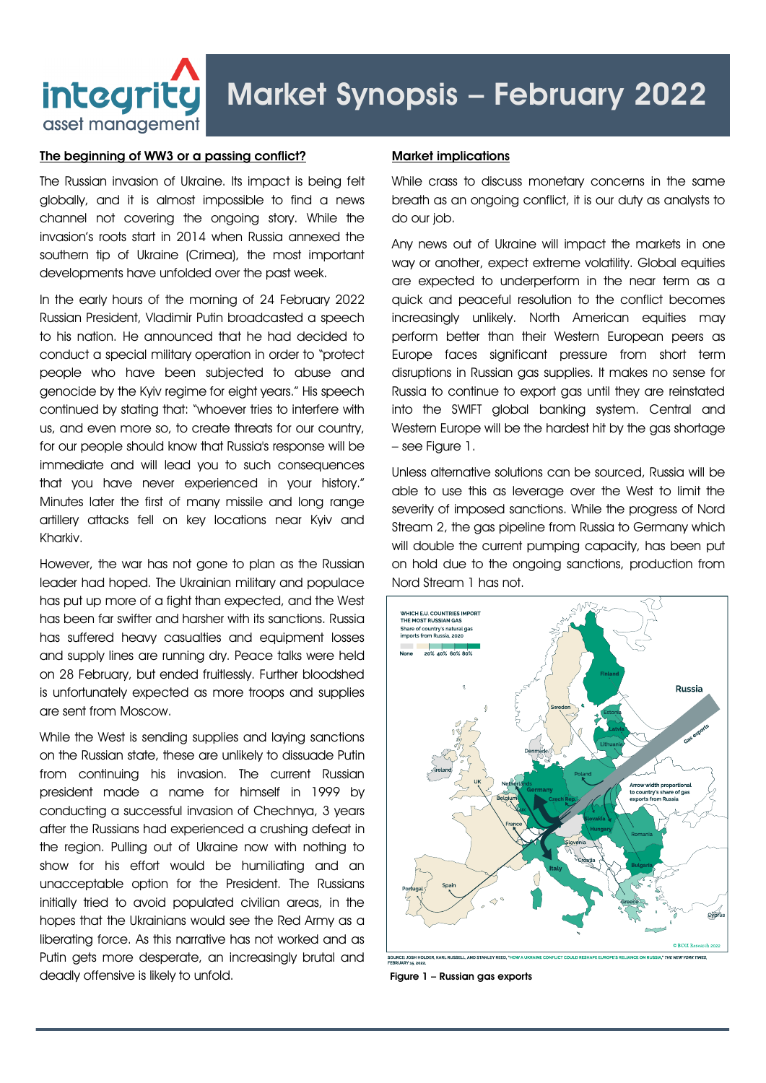

## Market Synopsis – February 2022

## The beginning of WW3 or a passing conflict?

The Russian invasion of Ukraine. Its impact is being felt globally, and it is almost impossible to find a news channel not covering the ongoing story. While the invasion's roots start in 2014 when Russia annexed the southern tip of Ukraine (Crimea), the most important developments have unfolded over the past week.

In the early hours of the morning of 24 February 2022 Russian President, Vladimir Putin broadcasted a speech to his nation. He announced that he had decided to conduct a special military operation in order to "protect people who have been subjected to abuse and genocide by the Kyiv regime for eight years." His speech continued by stating that: "whoever tries to interfere with us, and even more so, to create threats for our country, for our people should know that Russia's response will be immediate and will lead you to such consequences that you have never experienced in your history." Minutes later the first of many missile and long range artillery attacks fell on key locations near Kyiv and Kharkiv.

However, the war has not gone to plan as the Russian leader had hoped. The Ukrainian military and populace has put up more of a fight than expected, and the West has been far swifter and harsher with its sanctions. Russia has suffered heavy casualties and equipment losses and supply lines are running dry. Peace talks were held on 28 February, but ended fruitlessly. Further bloodshed is unfortunately expected as more troops and supplies are sent from Moscow.

While the West is sending supplies and laying sanctions on the Russian state, these are unlikely to dissuade Putin from continuing his invasion. The current Russian president made a name for himself in 1999 by conducting a successful invasion of Chechnya, 3 years after the Russians had experienced a crushing defeat in the region. Pulling out of Ukraine now with nothing to show for his effort would be humiliating and an unacceptable option for the President. The Russians initially tried to avoid populated civilian areas, in the hopes that the Ukrainians would see the Red Army as a liberating force. As this narrative has not worked and as Putin gets more desperate, an increasingly brutal and deadly offensive is likely to unfold.

## Market implications

While crass to discuss monetary concerns in the same breath as an ongoing conflict, it is our duty as analysts to do our job.

Any news out of Ukraine will impact the markets in one way or another, expect extreme volatility. Global equities are expected to underperform in the near term as a quick and peaceful resolution to the conflict becomes increasingly unlikely. North American equities may perform better than their Western European peers as Europe faces significant pressure from short term disruptions in Russian gas supplies. It makes no sense for Russia to continue to export gas until they are reinstated into the SWIFT global banking system. Central and Western Europe will be the hardest hit by the gas shortage – see Figure 1.

Unless alternative solutions can be sourced, Russia will be able to use this as leverage over the West to limit the severity of imposed sanctions. While the progress of Nord Stream 2, the gas pipeline from Russia to Germany which will double the current pumping capacity, has been put on hold due to the ongoing sanctions, production from Nord Stream 1 has not.



Figure 1 – Russian gas exports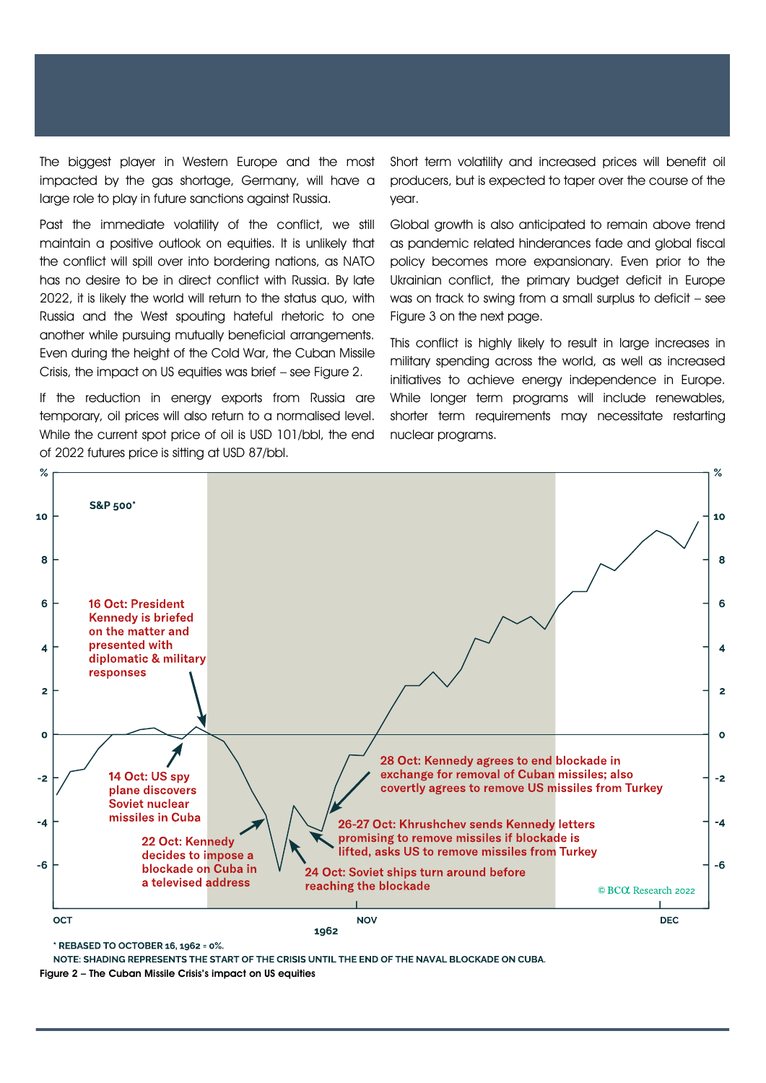The biggest player in Western Europe and the most impacted by the gas shortage, Germany, will have a large role to play in future sanctions against Russia.

Past the immediate volatility of the conflict, we still maintain a positive outlook on equities. It is unlikely that the conflict will spill over into bordering nations, as NATO has no desire to be in direct conflict with Russia. By late 2022, it is likely the world will return to the status quo, with Russia and the West spouting hateful rhetoric to one another while pursuing mutually beneficial arrangements. Even during the height of the Cold War, the Cuban Missile Crisis, the impact on US equities was brief – see Figure 2.

If the reduction in energy exports from Russia are temporary, oil prices will also return to a normalised level. While the current spot price of oil is USD 101/bbl, the end of 2022 futures price is sitting at USD 87/bbl.

Short term volatility and increased prices will benefit oil producers, but is expected to taper over the course of the year.

Global growth is also anticipated to remain above trend as pandemic related hinderances fade and global fiscal policy becomes more expansionary. Even prior to the Ukrainian conflict, the primary budget deficit in Europe was on track to swing from a small surplus to deficit – see Figure 3 on the next page.

This conflict is highly likely to result in large increases in military spending across the world, as well as increased initiatives to achieve energy independence in Europe. While longer term programs will include renewables, shorter term requirements may necessitate restarting nuclear programs.



\* REBASED TO OCTOBER 16, 1962 = 0%.

NOTE: SHADING REPRESENTS THE START OF THE CRISIS UNTIL THE END OF THE NAVAL BLOCKADE ON CUBA.

Figure 2 – The Cuban Missile Crisis's impact on US equities